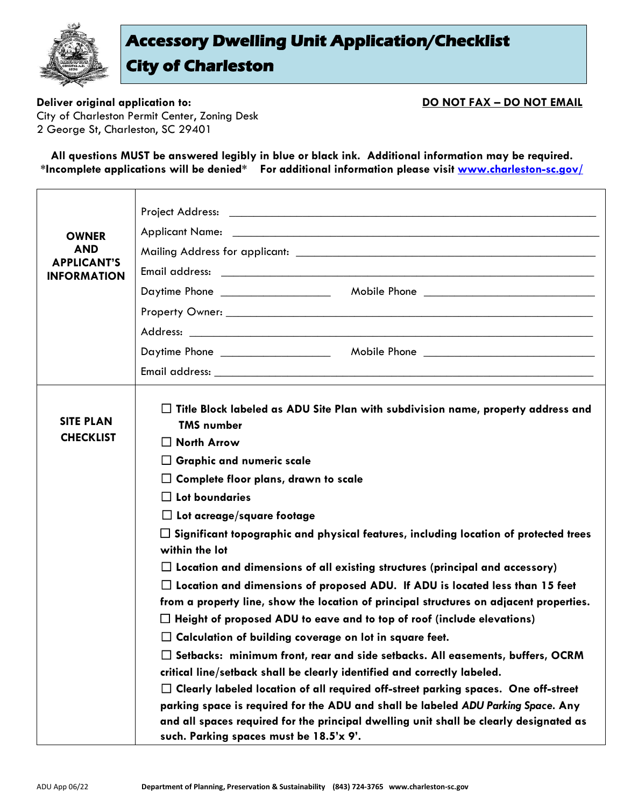

## **Accessory Dwelling Unit Application/Checklist City of Charleston**

**Deliver original application to: DO NOT FAX - DO NOT EMAIL** City of Charleston Permit Center, Zoning Desk 2 George St, Charleston, SC 29401

**All questions MUST be answered legibly in blue or black ink. Additional information may be required. \*Incomplete applications will be denied\* For additional information please visit [www.charleston-sc.gov/](http://www.charleston-sc.gov/shorttermrentals)**

| <b>OWNER</b><br><b>AND</b><br><b>APPLICANT'S</b><br><b>INFORMATION</b> |                                                                                                                                                                                                                                                                                                                                                                                                                                                                                                                                                                                                                                                                                                                                                                                                                                                                                                                                                                                                                                                                                            |  |  |
|------------------------------------------------------------------------|--------------------------------------------------------------------------------------------------------------------------------------------------------------------------------------------------------------------------------------------------------------------------------------------------------------------------------------------------------------------------------------------------------------------------------------------------------------------------------------------------------------------------------------------------------------------------------------------------------------------------------------------------------------------------------------------------------------------------------------------------------------------------------------------------------------------------------------------------------------------------------------------------------------------------------------------------------------------------------------------------------------------------------------------------------------------------------------------|--|--|
|                                                                        |                                                                                                                                                                                                                                                                                                                                                                                                                                                                                                                                                                                                                                                                                                                                                                                                                                                                                                                                                                                                                                                                                            |  |  |
| <b>SITE PLAN</b><br><b>CHECKLIST</b>                                   | Title Block labeled as ADU Site Plan with subdivision name, property address and<br><b>TMS number</b><br>$\Box$ North Arrow<br>$\Box$ Graphic and numeric scale<br>$\Box$ Complete floor plans, drawn to scale<br>$\Box$ Lot boundaries<br>$\Box$ Lot acreage/square footage<br>$\Box$ Significant topographic and physical features, including location of protected trees<br>within the lot<br>$\Box$ Location and dimensions of all existing structures (principal and accessory)<br>$\Box$ Location and dimensions of proposed ADU. If ADU is located less than 15 feet<br>from a property line, show the location of principal structures on adjacent properties.<br>$\Box$ Height of proposed ADU to eave and to top of roof (include elevations)<br>$\Box$ Calculation of building coverage on lot in square feet.<br>$\Box$ Setbacks: minimum front, rear and side setbacks. All easements, buffers, OCRM<br>critical line/setback shall be clearly identified and correctly labeled.<br>$\Box$ Clearly labeled location of all required off-street parking spaces. One off-street |  |  |
|                                                                        | parking space is required for the ADU and shall be labeled ADU Parking Space. Any<br>and all spaces required for the principal dwelling unit shall be clearly designated as<br>such. Parking spaces must be 18.5'x 9'.                                                                                                                                                                                                                                                                                                                                                                                                                                                                                                                                                                                                                                                                                                                                                                                                                                                                     |  |  |